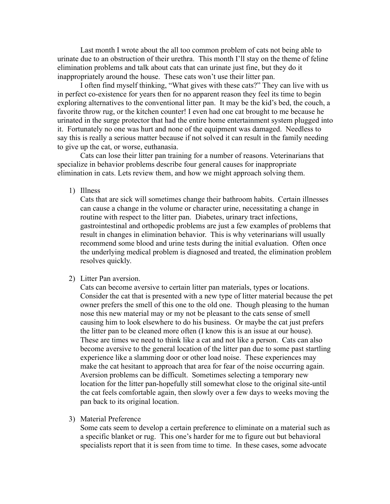Last month I wrote about the all too common problem of cats not being able to urinate due to an obstruction of their urethra. This month I'll stay on the theme of feline elimination problems and talk about cats that can urinate just fine, but they do it inappropriately around the house. These cats won't use their litter pan.

I often find myself thinking, "What gives with these cats?" They can live with us in perfect co-existence for years then for no apparent reason they feel its time to begin exploring alternatives to the conventional litter pan. It may be the kid's bed, the couch, a favorite throw rug, or the kitchen counter! I even had one cat brought to me because he urinated in the surge protector that had the entire home entertainment system plugged into it. Fortunately no one was hurt and none of the equipment was damaged. Needless to say this is really a serious matter because if not solved it can result in the family needing to give up the cat, or worse, euthanasia.

Cats can lose their litter pan training for a number of reasons. Veterinarians that specialize in behavior problems describe four general causes for inappropriate elimination in cats. Lets review them, and how we might approach solving them.

1) Illness

Cats that are sick will sometimes change their bathroom habits. Certain illnesses can cause a change in the volume or character urine, necessitating a change in routine with respect to the litter pan. Diabetes, urinary tract infections, gastrointestinal and orthopedic problems are just a few examples of problems that result in changes in elimination behavior. This is why veterinarians will usually recommend some blood and urine tests during the initial evaluation. Often once the underlying medical problem is diagnosed and treated, the elimination problem resolves quickly.

## 2) Litter Pan aversion.

Cats can become aversive to certain litter pan materials, types or locations. Consider the cat that is presented with a new type of litter material because the pet owner prefers the smell of this one to the old one. Though pleasing to the human nose this new material may or my not be pleasant to the cats sense of smell causing him to look elsewhere to do his business. Or maybe the cat just prefers the litter pan to be cleaned more often (I know this is an issue at our house). These are times we need to think like a cat and not like a person. Cats can also become aversive to the general location of the litter pan due to some past startling experience like a slamming door or other load noise. These experiences may make the cat hesitant to approach that area for fear of the noise occurring again. Aversion problems can be difficult. Sometimes selecting a temporary new location for the litter pan-hopefully still somewhat close to the original site-until the cat feels comfortable again, then slowly over a few days to weeks moving the pan back to its original location.

3) Material Preference

Some cats seem to develop a certain preference to eliminate on a material such as a specific blanket or rug. This one's harder for me to figure out but behavioral specialists report that it is seen from time to time. In these cases, some advocate